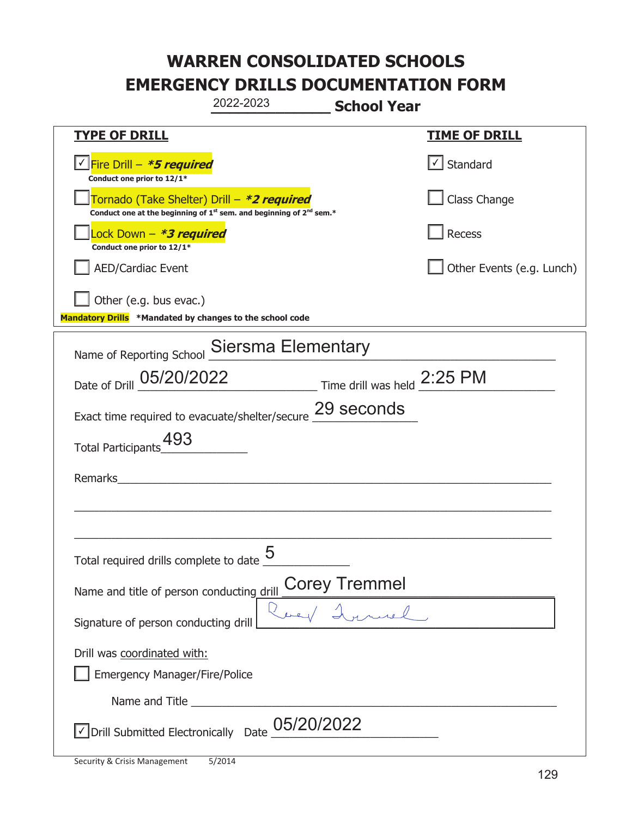|                                                                                           | 2022-2023                                                                                   | <b>School Year</b>                                                          |                           |
|-------------------------------------------------------------------------------------------|---------------------------------------------------------------------------------------------|-----------------------------------------------------------------------------|---------------------------|
| <u>TYPE OF DRILL</u>                                                                      |                                                                                             |                                                                             | <b>TIME OF DRILL</b>      |
| Fire Drill - *5 required<br>Conduct one prior to 12/1*                                    |                                                                                             |                                                                             | √ Standard                |
| Tornado (Take Shelter) Drill – *2 required                                                | Conduct one at the beginning of 1 <sup>st</sup> sem. and beginning of 2 <sup>nd</sup> sem.* |                                                                             | Class Change              |
| Lock Down - *3 required<br>Conduct one prior to 12/1*                                     |                                                                                             |                                                                             | Recess                    |
| <b>AED/Cardiac Event</b>                                                                  |                                                                                             |                                                                             | Other Events (e.g. Lunch) |
| Other (e.g. bus evac.)<br>Mandatory Drills *Mandated by changes to the school code        |                                                                                             |                                                                             |                           |
| Name of Reporting School Siersma Elementary                                               |                                                                                             |                                                                             |                           |
| Date of Drill 05/20/2022                                                                  |                                                                                             | $\frac{2:25 \text{ PM}}{2}$ Time drill was held $\frac{2:25 \text{ PM}}{2}$ |                           |
| Exact time required to evacuate/shelter/secure 29 seconds                                 |                                                                                             |                                                                             |                           |
| 493<br><b>Total Participants</b>                                                          |                                                                                             |                                                                             |                           |
| Remarks                                                                                   |                                                                                             |                                                                             |                           |
|                                                                                           |                                                                                             |                                                                             |                           |
| Total required drills complete to date $\frac{5}{5}$                                      |                                                                                             |                                                                             |                           |
| Name and title of person conducting drill                                                 |                                                                                             | Corey Tremmel                                                               |                           |
| Signature of person conducting drill                                                      |                                                                                             | ruel,                                                                       |                           |
| Drill was coordinated with:<br><b>Emergency Manager/Fire/Police</b>                       |                                                                                             |                                                                             |                           |
|                                                                                           |                                                                                             |                                                                             |                           |
| $\overline{\text{C}}$ Drill Submitted Electronically Date $\underline{\text{O}}5/20/2022$ |                                                                                             |                                                                             |                           |

t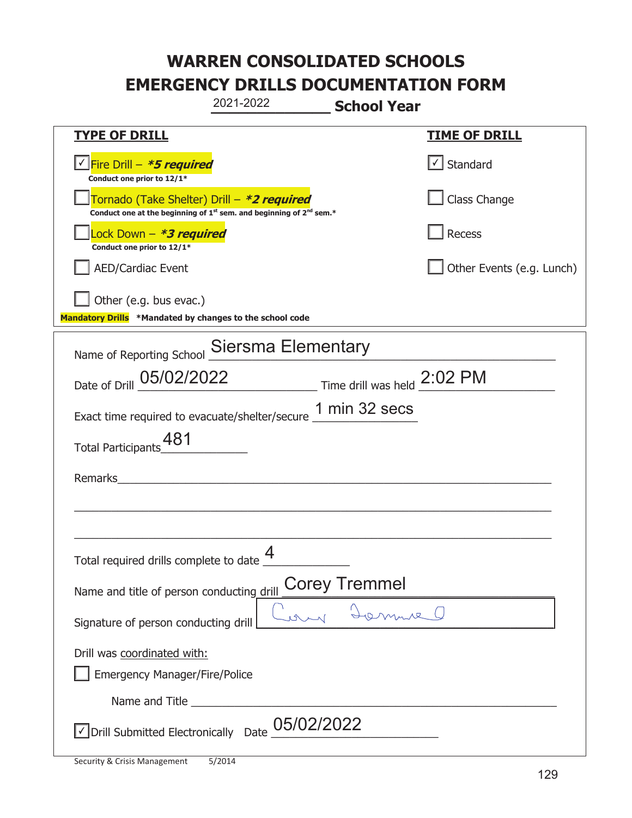|                                                                                    | 2021-2022                                                                                   | <b>School Year</b>   |                           |
|------------------------------------------------------------------------------------|---------------------------------------------------------------------------------------------|----------------------|---------------------------|
| <u>TYPE OF DRILL</u>                                                               |                                                                                             |                      | <u>TIME OF DRILL</u>      |
| <u>√ Fire Drill – <i>*5 required</i></u><br>Conduct one prior to 12/1*             |                                                                                             |                      | $\vert$ Standard          |
| Tornado (Take Shelter) Drill – *2 required                                         | Conduct one at the beginning of 1 <sup>st</sup> sem. and beginning of 2 <sup>nd</sup> sem.* |                      | Class Change              |
| ock Down - <b>*3 required</b><br>Conduct one prior to 12/1*                        |                                                                                             |                      | Recess                    |
| <b>AED/Cardiac Event</b>                                                           |                                                                                             |                      | Other Events (e.g. Lunch) |
| Other (e.g. bus evac.)<br>Mandatory Drills *Mandated by changes to the school code |                                                                                             |                      |                           |
| Name of Reporting School Siersma Elementary                                        |                                                                                             |                      |                           |
| Date of Drill 05/02/2022 Time drill was held 2:02 PM                               |                                                                                             |                      |                           |
| Exact time required to evacuate/shelter/secure 1 min 32 secs                       |                                                                                             |                      |                           |
| 481<br><b>Total Participants</b>                                                   |                                                                                             |                      |                           |
| Remarks                                                                            |                                                                                             |                      |                           |
|                                                                                    |                                                                                             |                      |                           |
| Total required drills complete to date                                             | 4                                                                                           |                      |                           |
| Name and title of person conducting drill                                          |                                                                                             | <b>Corey Tremmel</b> |                           |
| Signature of person conducting drill                                               |                                                                                             |                      |                           |
| Drill was coordinated with:<br><b>Emergency Manager/Fire/Police</b>                |                                                                                             |                      |                           |
|                                                                                    |                                                                                             |                      |                           |
| Drill Submitted Electronically Date                                                | 05/02/2022                                                                                  |                      |                           |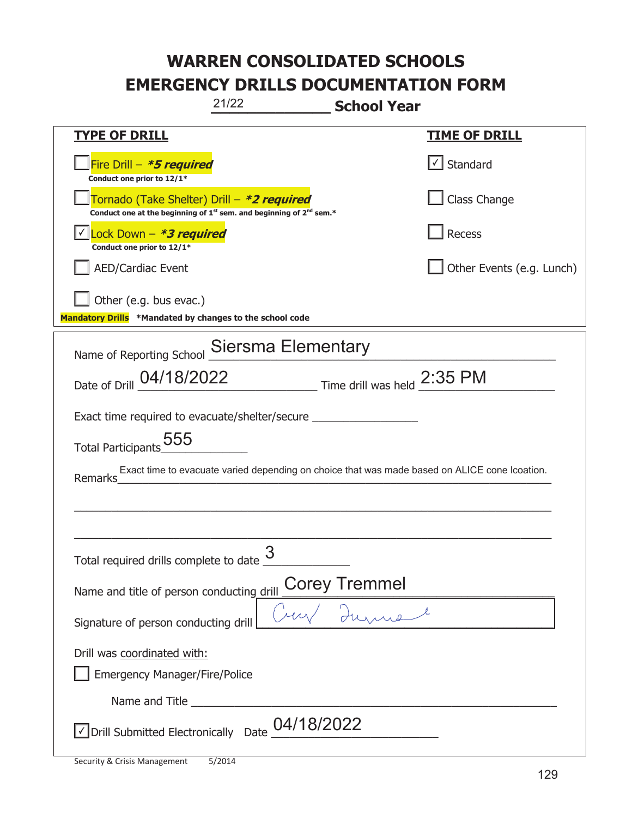| 21/22<br><b>School Year</b>                                                                                                               |                                   |  |  |
|-------------------------------------------------------------------------------------------------------------------------------------------|-----------------------------------|--|--|
| <b>TYPE OF DRILL</b>                                                                                                                      | <b>TIME OF DRILL</b>              |  |  |
| Fire Drill - <i>*<b>5 required</b></i><br>Conduct one prior to 12/1*                                                                      | $\lfloor \angle \rfloor$ Standard |  |  |
| Tornado (Take Shelter) Drill - *2 required<br>Conduct one at the beginning of 1 <sup>st</sup> sem. and beginning of 2 <sup>nd</sup> sem.* | Class Change                      |  |  |
| Lock Down - *3 required<br>Conduct one prior to 12/1*                                                                                     | <b>Recess</b>                     |  |  |
| <b>AED/Cardiac Event</b>                                                                                                                  | Other Events (e.g. Lunch)         |  |  |
| Other (e.g. bus evac.)<br>Mandatory Drills *Mandated by changes to the school code                                                        |                                   |  |  |
| Name of Reporting School Siersma Elementary                                                                                               |                                   |  |  |
| Date of Drill 04/18/2022 Time drill was held 2:35 PM                                                                                      |                                   |  |  |
| Exact time required to evacuate/shelter/secure _________________________________                                                          |                                   |  |  |
| Total Participants_555                                                                                                                    |                                   |  |  |
| Exact time to evacuate varied depending on choice that was made based on ALICE cone Icoation.<br>Remarks                                  |                                   |  |  |
|                                                                                                                                           |                                   |  |  |
|                                                                                                                                           |                                   |  |  |
| 3<br>Total required drills complete to date                                                                                               |                                   |  |  |
| Corey Tremmel<br>Name and title of person conducting drill                                                                                |                                   |  |  |
| Signature of person conducting drill                                                                                                      |                                   |  |  |
| Drill was coordinated with:                                                                                                               |                                   |  |  |
| <b>Emergency Manager/Fire/Police</b>                                                                                                      |                                   |  |  |
|                                                                                                                                           |                                   |  |  |
| $\vee$ Drill Submitted Electronically Date $\underline{04/18/2022}$                                                                       |                                   |  |  |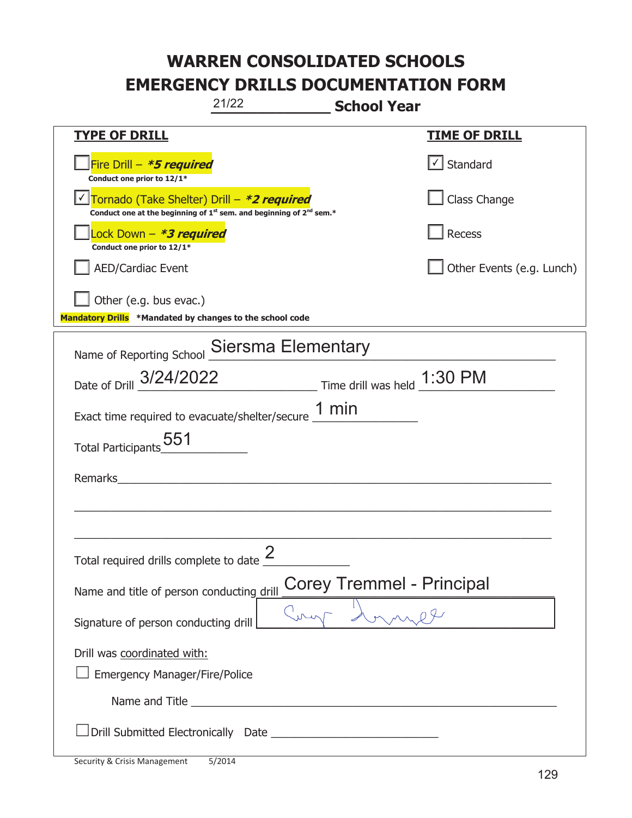|                                                                                                                                           | 21/22                                | <b>School Year</b>               |                           |
|-------------------------------------------------------------------------------------------------------------------------------------------|--------------------------------------|----------------------------------|---------------------------|
| <u>TYPE OF DRILL</u>                                                                                                                      |                                      |                                  | <u>TIME OF DRILL</u>      |
| Fire Drill - *5 required<br>Conduct one prior to 12/1*                                                                                    |                                      |                                  | Standard                  |
| Tornado (Take Shelter) Drill - *2 required<br>Conduct one at the beginning of 1 <sup>st</sup> sem. and beginning of 2 <sup>nd</sup> sem.* |                                      |                                  | Class Change              |
| Lock Down - *3 required<br>Conduct one prior to 12/1*                                                                                     |                                      |                                  | Recess                    |
| <b>AED/Cardiac Event</b>                                                                                                                  |                                      |                                  | Other Events (e.g. Lunch) |
| Other (e.g. bus evac.)<br>Mandatory Drills *Mandated by changes to the school code                                                        |                                      |                                  |                           |
| Name of Reporting School Siersma Elementary                                                                                               |                                      |                                  |                           |
| Date of Drill 3/24/2022                                                                                                                   |                                      | Time drill was held 1:30 PM      |                           |
| Exact time required to evacuate/shelter/secure $\underline{\hspace{1em} 1\hspace{1em} min}$                                               |                                      |                                  |                           |
| Total Participants <sub>2</sub> 551                                                                                                       |                                      |                                  |                           |
| Remarks                                                                                                                                   |                                      |                                  |                           |
|                                                                                                                                           |                                      |                                  |                           |
| Total required drills complete to date $\frac{2}{3}$                                                                                      |                                      |                                  |                           |
| Name and title of person conducting drill                                                                                                 |                                      | <b>Corey Tremmel - Principal</b> |                           |
| Signature of person conducting drill                                                                                                      |                                      |                                  |                           |
| Drill was coordinated with:<br><b>Emergency Manager/Fire/Police</b>                                                                       |                                      |                                  |                           |
|                                                                                                                                           | Name and Title <b>Name and Title</b> |                                  |                           |
|                                                                                                                                           |                                      |                                  |                           |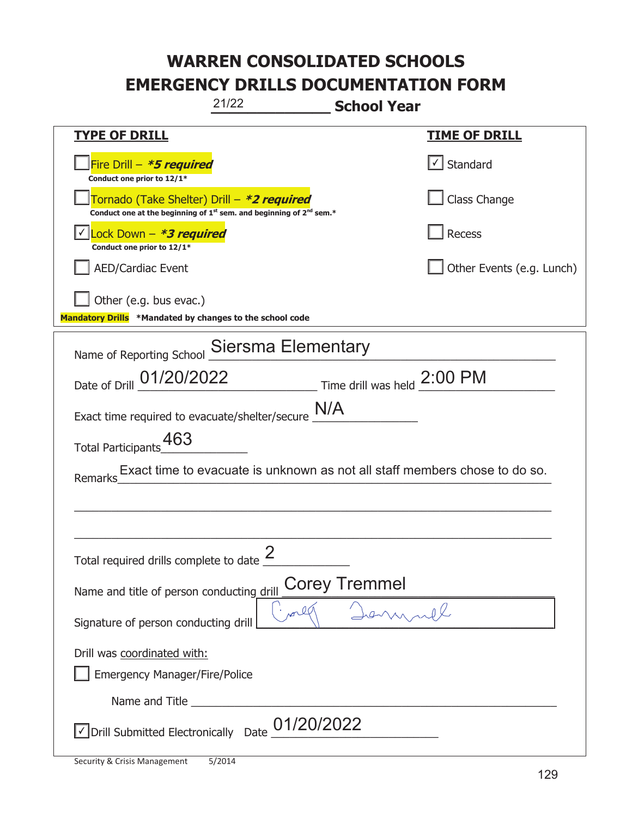| 21/22<br><b>School Year</b>                                                                                                               |                           |  |  |
|-------------------------------------------------------------------------------------------------------------------------------------------|---------------------------|--|--|
| <b>TYPE OF DRILL</b>                                                                                                                      | <u>TIME OF DRILL</u>      |  |  |
| Fire Drill - <b>*5 required</b><br>Conduct one prior to 12/1*                                                                             | $\cup$ Standard           |  |  |
| Tornado (Take Shelter) Drill - *2 required<br>Conduct one at the beginning of 1 <sup>st</sup> sem. and beginning of 2 <sup>nd</sup> sem.* | Class Change              |  |  |
| Lock Down - *3 required<br>Conduct one prior to 12/1*                                                                                     | Recess                    |  |  |
| <b>AED/Cardiac Event</b>                                                                                                                  | Other Events (e.g. Lunch) |  |  |
| Other (e.g. bus evac.)<br>Mandatory Drills *Mandated by changes to the school code                                                        |                           |  |  |
| Name of Reporting School Siersma Elementary                                                                                               |                           |  |  |
| Date of Drill 01/20/2022 Time drill was held 2:00 PM                                                                                      |                           |  |  |
| Exact time required to evacuate/shelter/secure $\underline{\text{N/A}}$                                                                   |                           |  |  |
| Total Participants_463                                                                                                                    |                           |  |  |
| Exact time to evacuate is unknown as not all staff members chose to do so.<br>Remarks                                                     |                           |  |  |
|                                                                                                                                           |                           |  |  |
|                                                                                                                                           |                           |  |  |
| Total required drills complete to date $\frac{2}{3}$                                                                                      |                           |  |  |
| <b>Corey Tremmel</b><br>Name and title of person conducting drill                                                                         |                           |  |  |
| n 00<br>Signature of person conducting drill                                                                                              |                           |  |  |
| Drill was coordinated with:                                                                                                               |                           |  |  |
| Emergency Manager/Fire/Police                                                                                                             |                           |  |  |
|                                                                                                                                           |                           |  |  |
| 01/20/2022<br>√ Drill Submitted Electronically Date                                                                                       |                           |  |  |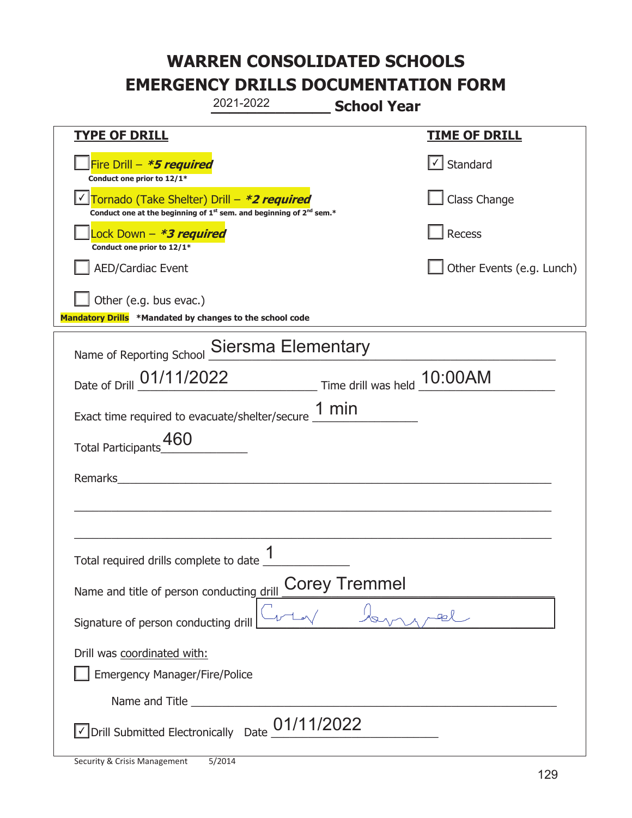|                                                                                                                       | 2021-2022<br><b>School Year</b>                      |                           |
|-----------------------------------------------------------------------------------------------------------------------|------------------------------------------------------|---------------------------|
| <b>TYPE OF DRILL</b>                                                                                                  |                                                      | <b>TIME OF DRILL</b>      |
| Fire Drill - *5 required<br>Conduct one prior to 12/1*                                                                |                                                      | $\lfloor$ Standard        |
| Tornado (Take Shelter) Drill - *2 required<br>Conduct one at the beginning of $1st$ sem. and beginning of $2nd$ sem.* |                                                      | Class Change              |
| Lock Down - <b>*3 required</b><br>Conduct one prior to 12/1*                                                          |                                                      | Recess                    |
| AED/Cardiac Event                                                                                                     |                                                      | Other Events (e.g. Lunch) |
| $\vert$ Other (e.g. bus evac.)<br>Mandatory Drills *Mandated by changes to the school code                            |                                                      |                           |
| Name of Reporting School Siersma Elementary                                                                           |                                                      |                           |
|                                                                                                                       | Date of Drill 01/11/2022 Time drill was held 10:00AM |                           |
| Exact time required to evacuate/shelter/secure $\underline{1}$ min                                                    |                                                      |                           |
| Total Participants_60                                                                                                 |                                                      |                           |
| Remarks                                                                                                               |                                                      |                           |
|                                                                                                                       |                                                      |                           |
|                                                                                                                       |                                                      |                           |
| Total required drills complete to date $\frac{1}{1}$                                                                  |                                                      |                           |
| Name and title of person conducting drill                                                                             | <b>Corey Tremmel</b>                                 |                           |
| Signature of person conducting drill                                                                                  |                                                      |                           |
| Drill was coordinated with:                                                                                           |                                                      |                           |
| <b>Emergency Manager/Fire/Police</b>                                                                                  |                                                      |                           |
|                                                                                                                       |                                                      |                           |
| √ Drill Submitted Electronically Date                                                                                 | 01/11/2022                                           |                           |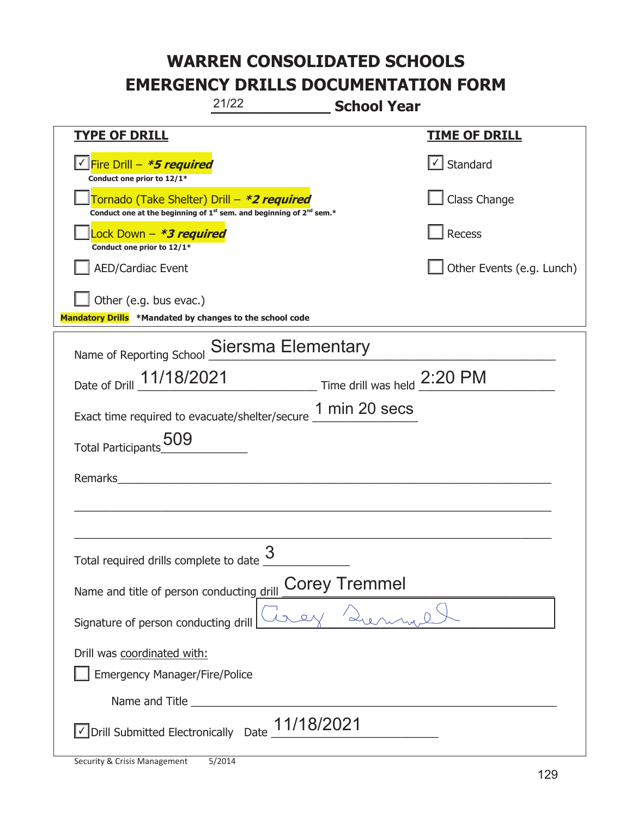|                                                                                    | 21/22<br><b>School Year</b>                                                                 |                           |
|------------------------------------------------------------------------------------|---------------------------------------------------------------------------------------------|---------------------------|
| <b>TYPE OF DRILL</b>                                                               |                                                                                             | <u>TIME OF DRILL</u>      |
| <u> √ Fire Drill – <i>*5 required</i></u><br>Conduct one prior to 12/1*            |                                                                                             | $\cup$ Standard           |
| Tornado (Take Shelter) Drill – *2 required                                         | Conduct one at the beginning of 1 <sup>st</sup> sem. and beginning of 2 <sup>nd</sup> sem.* | Class Change              |
| Lock Down - *3 required<br>Conduct one prior to 12/1*                              |                                                                                             | Recess                    |
| <b>AED/Cardiac Event</b>                                                           |                                                                                             | Other Events (e.g. Lunch) |
| Other (e.g. bus evac.)<br>Mandatory Drills *Mandated by changes to the school code |                                                                                             |                           |
|                                                                                    | Name of Reporting School Siersma Elementary                                                 |                           |
|                                                                                    | Date of Drill 11/18/2021 Time drill was held 2:20 PM                                        |                           |
|                                                                                    | Exact time required to evacuate/shelter/secure 1 min 20 secs                                |                           |
| Total Participants 509                                                             |                                                                                             |                           |
| Remarks                                                                            |                                                                                             |                           |
|                                                                                    |                                                                                             |                           |
|                                                                                    |                                                                                             |                           |
| Total required drills complete to date $\frac{3}{5}$                               |                                                                                             |                           |
| Name and title of person conducting drill                                          | <b>Corey Tremmel</b>                                                                        |                           |
| Signature of person conducting drill                                               |                                                                                             |                           |
| Drill was coordinated with:                                                        |                                                                                             |                           |
| <b>Emergency Manager/Fire/Police</b>                                               |                                                                                             |                           |
|                                                                                    |                                                                                             |                           |
| √ Drill Submitted Electronically Date                                              | 11/18/2021                                                                                  |                           |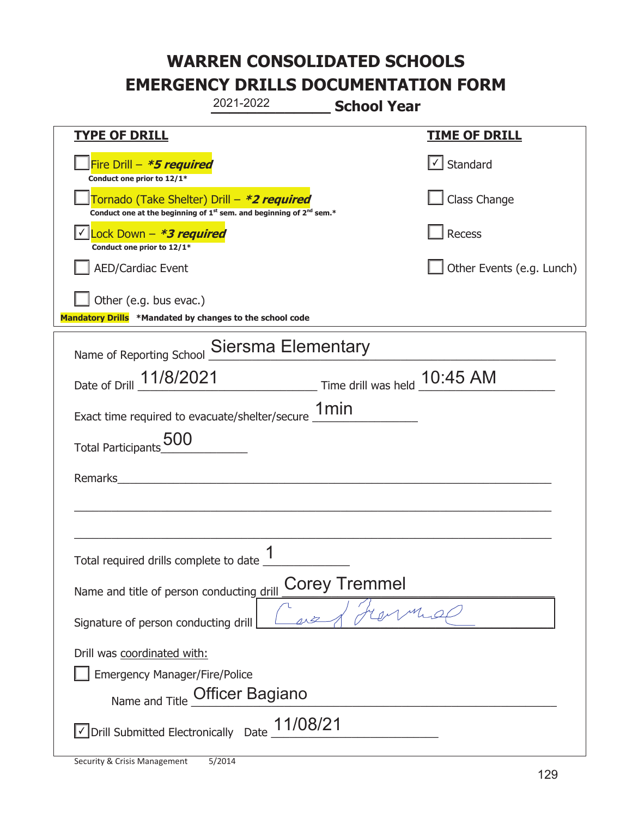|                                                                                    | 2021-2022                                                                                   | <b>School Year</b>   |                           |
|------------------------------------------------------------------------------------|---------------------------------------------------------------------------------------------|----------------------|---------------------------|
| <b>TYPE OF DRILL</b>                                                               |                                                                                             |                      | <b>TIME OF DRILL</b>      |
| Fire Drill - *5 required<br>Conduct one prior to 12/1*                             |                                                                                             |                      | $\cup$ Standard           |
| Tornado (Take Shelter) Drill – *2 required                                         | Conduct one at the beginning of 1 <sup>st</sup> sem. and beginning of 2 <sup>nd</sup> sem.* |                      | Class Change              |
| Lock Down - *3 required<br>Conduct one prior to 12/1*                              |                                                                                             |                      | Recess                    |
| <b>AED/Cardiac Event</b>                                                           |                                                                                             |                      | Other Events (e.g. Lunch) |
| Other (e.g. bus evac.)<br>Mandatory Drills *Mandated by changes to the school code |                                                                                             |                      |                           |
| Name of Reporting School Siersma Elementary                                        |                                                                                             |                      |                           |
| Date of Drill 11/8/2021 Time drill was held 10:45 AM                               |                                                                                             |                      |                           |
| Exact time required to evacuate/shelter/secure 1min                                |                                                                                             |                      |                           |
| Total Participants 500                                                             |                                                                                             |                      |                           |
| Remarks                                                                            |                                                                                             |                      |                           |
|                                                                                    |                                                                                             |                      |                           |
| Total required drills complete to date                                             | 1                                                                                           |                      |                           |
| Name and title of person conducting drill                                          |                                                                                             | <b>Corey Tremmel</b> |                           |
| Signature of person conducting drill                                               |                                                                                             |                      |                           |
| Drill was coordinated with:<br><b>Emergency Manager/Fire/Police</b>                | Name and Title Officer Bagiano                                                              |                      |                           |
| √ Drill Submitted Electronically Date                                              | 11/08/21                                                                                    |                      |                           |

T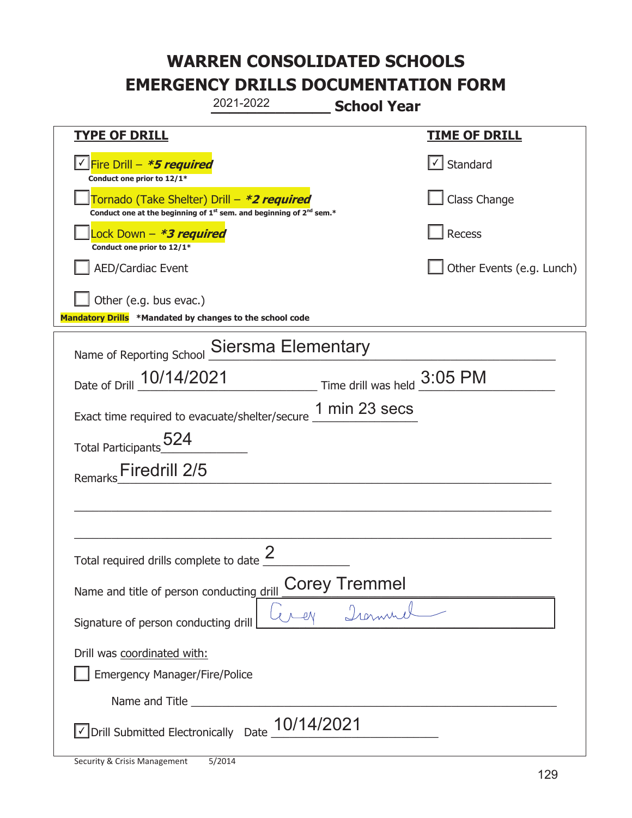|                                                                                        | 2021-2022                                                                                                                                 | <b>School Year</b>   |                              |
|----------------------------------------------------------------------------------------|-------------------------------------------------------------------------------------------------------------------------------------------|----------------------|------------------------------|
| <b>TYPE OF DRILL</b>                                                                   |                                                                                                                                           |                      | <u>TIME OF DRILL</u>         |
| <u>√ Fire Drill – <i>*5 required</i></u><br>Conduct one prior to 12/1*                 |                                                                                                                                           |                      | $\vert \cdot \vert$ Standard |
|                                                                                        | Tornado (Take Shelter) Drill – *2 required<br>Conduct one at the beginning of 1 <sup>st</sup> sem. and beginning of 2 <sup>nd</sup> sem.* |                      | Class Change                 |
| ock Down – <b>*3 required</b><br>Conduct one prior to 12/1*                            |                                                                                                                                           |                      | Recess                       |
| <b>AED/Cardiac Event</b>                                                               |                                                                                                                                           |                      | Other Events (e.g. Lunch)    |
| Other (e.g. bus evac.)<br>Mandatory Drills *Mandated by changes to the school code     |                                                                                                                                           |                      |                              |
|                                                                                        |                                                                                                                                           |                      |                              |
| Name of Reporting School Siersma Elementary                                            |                                                                                                                                           |                      |                              |
| Date of Drill 10/14/2021 Time drill was held 3:05 PM                                   |                                                                                                                                           |                      |                              |
| Exact time required to evacuate/shelter/secure $\frac{1 \text{ min}}{23 \text{ secs}}$ |                                                                                                                                           |                      |                              |
| Total Participants 524                                                                 |                                                                                                                                           |                      |                              |
| Firedrill 2/5<br>Remarks                                                               |                                                                                                                                           |                      |                              |
|                                                                                        |                                                                                                                                           |                      |                              |
|                                                                                        |                                                                                                                                           |                      |                              |
| Total required drills complete to date $\frac{2}{3}$                                   |                                                                                                                                           |                      |                              |
| Name and title of person conducting drill                                              |                                                                                                                                           | <b>Corey Tremmel</b> |                              |
| Signature of person conducting drill                                                   |                                                                                                                                           |                      |                              |
| Drill was coordinated with:<br><b>Emergency Manager/Fire/Police</b>                    |                                                                                                                                           |                      |                              |
|                                                                                        |                                                                                                                                           |                      |                              |
| $\vee$ Drill Submitted Electronically Date $\_$ 10/14/2021                             |                                                                                                                                           |                      |                              |

t